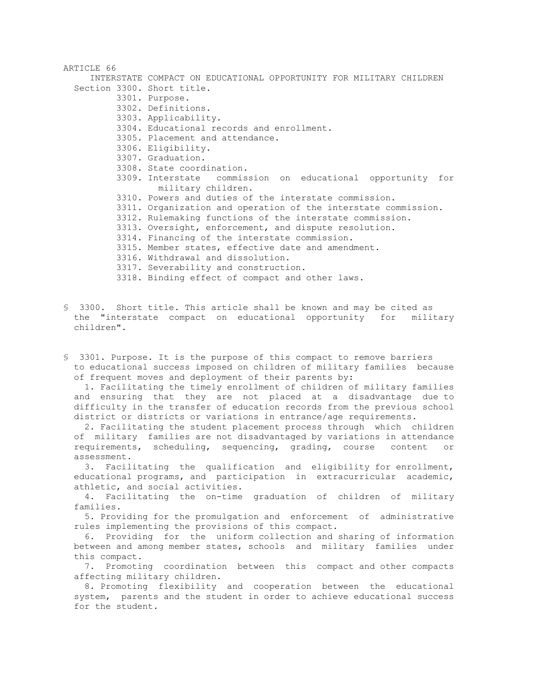| ARTICLE 66                 |                                                                                  |
|----------------------------|----------------------------------------------------------------------------------|
|                            | INTERSTATE COMPACT ON EDUCATIONAL OPPORTUNITY FOR MILITARY CHILDREN              |
| Section 3300. Short title. |                                                                                  |
|                            | 3301. Purpose.                                                                   |
|                            | 3302. Definitions.                                                               |
|                            | 3303. Applicability.                                                             |
|                            | 3304. Educational records and enrollment.                                        |
|                            | 3305. Placement and attendance.                                                  |
|                            | 3306. Eligibility.                                                               |
|                            | 3307. Graduation.                                                                |
|                            | 3308. State coordination.                                                        |
|                            | 3309. Interstate commission on educational opportunity for<br>military children. |
|                            | 3310. Powers and duties of the interstate commission.                            |
|                            | 3311. Organization and operation of the interstate commission.                   |
|                            | 3312. Rulemaking functions of the interstate commission.                         |
|                            | 3313. Oversight, enforcement, and dispute resolution.                            |
|                            | 3314. Financing of the interstate commission.                                    |
|                            | 3315. Member states, effective date and amendment.                               |
|                            | 3316. Withdrawal and dissolution.                                                |
|                            | 3317. Severability and construction.                                             |
|                            | 3318. Binding effect of compact and other laws.                                  |

§ 3300. Short title. This article shall be known and may be cited as the "interstate compact on educational opportunity for military children".

§ 3301. Purpose. It is the purpose of this compact to remove barriers to educational success imposed on children of military families because of frequent moves and deployment of their parents by:

 1. Facilitating the timely enrollment of children of military families and ensuring that they are not placed at a disadvantage due to difficulty in the transfer of education records from the previous school district or districts or variations in entrance/age requirements.

 2. Facilitating the student placement process through which children of military families are not disadvantaged by variations in attendance requirements, scheduling, sequencing, grading, course content or assessment.

 3. Facilitating the qualification and eligibility for enrollment, educational programs, and participation in extracurricular academic, athletic, and social activities.

 4. Facilitating the on-time graduation of children of military families.

 5. Providing for the promulgation and enforcement of administrative rules implementing the provisions of this compact.

 6. Providing for the uniform collection and sharing of information between and among member states, schools and military families under this compact.

 7. Promoting coordination between this compact and other compacts affecting military children.

 8. Promoting flexibility and cooperation between the educational system, parents and the student in order to achieve educational success for the student.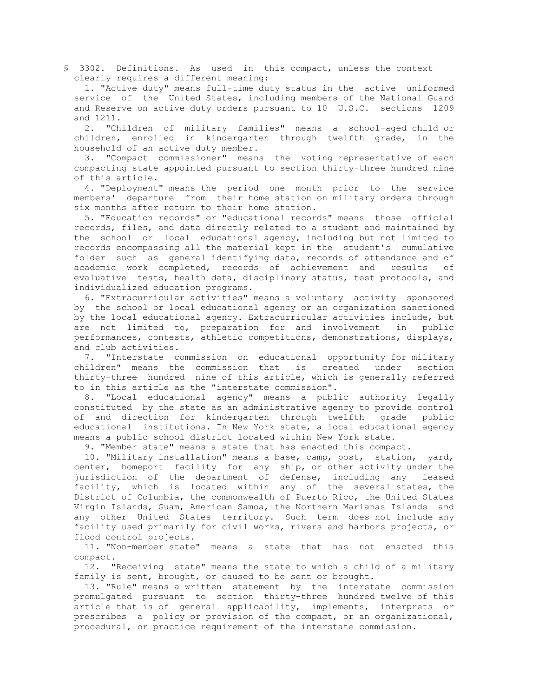§ 3302. Definitions. As used in this compact, unless the context clearly requires a different meaning:

 1. "Active duty" means full-time duty status in the active uniformed service of the United States, including members of the National Guard and Reserve on active duty orders pursuant to 10 U.S.C. sections 1209 and 1211.

 2. "Children of military families" means a school-aged child or children, enrolled in kindergarten through twelfth grade, in the household of an active duty member.

 3. "Compact commissioner" means the voting representative of each compacting state appointed pursuant to section thirty-three hundred nine of this article.

 4. "Deployment" means the period one month prior to the service members' departure from their home station on military orders through six months after return to their home station.

 5. "Education records" or "educational records" means those official records, files, and data directly related to a student and maintained by the school or local educational agency, including but not limited to records encompassing all the material kept in the student's cumulative folder such as general identifying data, records of attendance and of academic work completed, records of achievement and results of evaluative tests, health data, disciplinary status, test protocols, and individualized education programs.

 6. "Extracurricular activities" means a voluntary activity sponsored by the school or local educational agency or an organization sanctioned by the local educational agency. Extracurricular activities include, but are not limited to, preparation for and involvement in public performances, contests, athletic competitions, demonstrations, displays, and club activities.

 7. "Interstate commission on educational opportunity for military children" means the commission that is created under section thirty-three hundred nine of this article, which is generally referred to in this article as the "interstate commission".

 8. "Local educational agency" means a public authority legally constituted by the state as an administrative agency to provide control of and direction for kindergarten through twelfth grade public educational institutions. In New York state, a local educational agency means a public school district located within New York state.

9. "Member state" means a state that has enacted this compact.

 10. "Military installation" means a base, camp, post, station, yard, center, homeport facility for any ship, or other activity under the jurisdiction of the department of defense, including any leased facility, which is located within any of the several states, the District of Columbia, the commonwealth of Puerto Rico, the United States Virgin Islands, Guam, American Samoa, the Northern Marianas Islands and any other United States territory. Such term does not include any facility used primarily for civil works, rivers and harbors projects, or flood control projects.

 11. "Non-member state" means a state that has not enacted this compact.

 12. "Receiving state" means the state to which a child of a military family is sent, brought, or caused to be sent or brought.

 13. "Rule" means a written statement by the interstate commission promulgated pursuant to section thirty-three hundred twelve of this article that is of general applicability, implements, interprets or prescribes a policy or provision of the compact, or an organizational, procedural, or practice requirement of the interstate commission.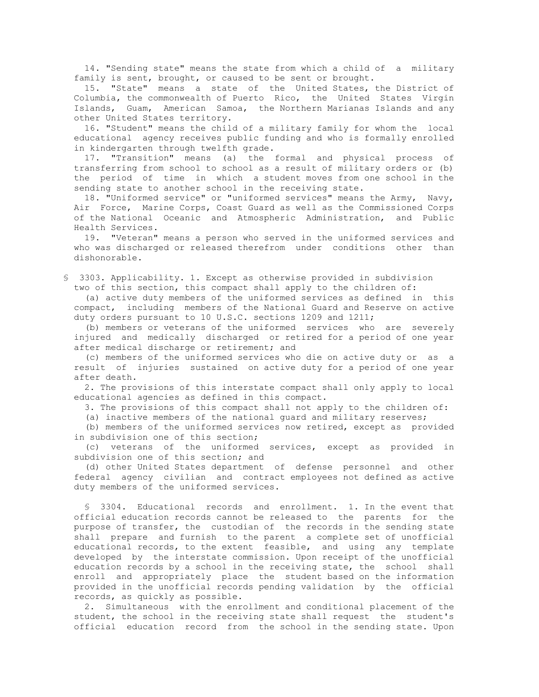14. "Sending state" means the state from which a child of a military family is sent, brought, or caused to be sent or brought.

 15. "State" means a state of the United States, the District of Columbia, the commonwealth of Puerto Rico, the United States Virgin Islands, Guam, American Samoa, the Northern Marianas Islands and any other United States territory.

 16. "Student" means the child of a military family for whom the local educational agency receives public funding and who is formally enrolled in kindergarten through twelfth grade.

 17. "Transition" means (a) the formal and physical process of transferring from school to school as a result of military orders or (b) the period of time in which a student moves from one school in the sending state to another school in the receiving state.

 18. "Uniformed service" or "uniformed services" means the Army, Navy, Air Force, Marine Corps, Coast Guard as well as the Commissioned Corps of the National Oceanic and Atmospheric Administration, and Public Health Services.

 19. "Veteran" means a person who served in the uniformed services and who was discharged or released therefrom under conditions other than dishonorable.

§ 3303. Applicability. 1. Except as otherwise provided in subdivision two of this section, this compact shall apply to the children of:

 (a) active duty members of the uniformed services as defined in this compact, including members of the National Guard and Reserve on active duty orders pursuant to 10 U.S.C. sections 1209 and 1211;

 (b) members or veterans of the uniformed services who are severely injured and medically discharged or retired for a period of one year after medical discharge or retirement; and

 (c) members of the uniformed services who die on active duty or as a result of injuries sustained on active duty for a period of one year after death.

 2. The provisions of this interstate compact shall only apply to local educational agencies as defined in this compact.

3. The provisions of this compact shall not apply to the children of:

(a) inactive members of the national guard and military reserves;

 (b) members of the uniformed services now retired, except as provided in subdivision one of this section;

 (c) veterans of the uniformed services, except as provided in subdivision one of this section; and

 (d) other United States department of defense personnel and other federal agency civilian and contract employees not defined as active duty members of the uniformed services.

 § 3304. Educational records and enrollment. 1. In the event that official education records cannot be released to the parents for the purpose of transfer, the custodian of the records in the sending state shall prepare and furnish to the parent a complete set of unofficial educational records, to the extent feasible, and using any template developed by the interstate commission. Upon receipt of the unofficial education records by a school in the receiving state, the school shall enroll and appropriately place the student based on the information provided in the unofficial records pending validation by the official records, as quickly as possible.

 2. Simultaneous with the enrollment and conditional placement of the student, the school in the receiving state shall request the student's official education record from the school in the sending state. Upon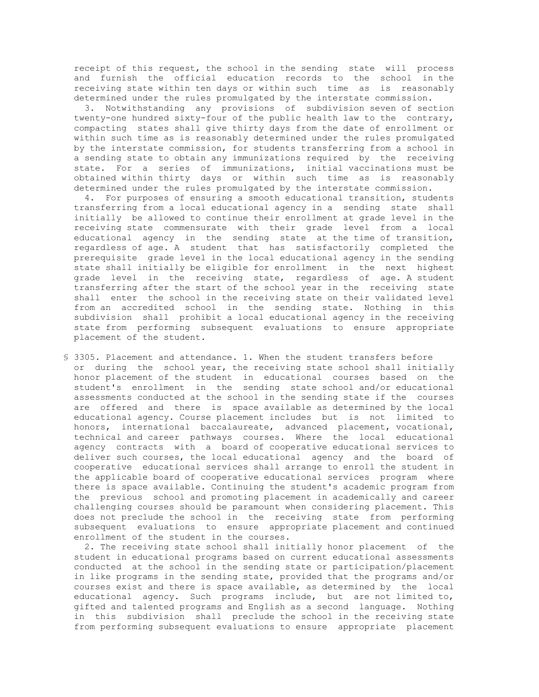receipt of this request, the school in the sending state will process and furnish the official education records to the school in the receiving state within ten days or within such time as is reasonably determined under the rules promulgated by the interstate commission.

 3. Notwithstanding any provisions of subdivision seven of section twenty-one hundred sixty-four of the public health law to the contrary, compacting states shall give thirty days from the date of enrollment or within such time as is reasonably determined under the rules promulgated by the interstate commission, for students transferring from a school in a sending state to obtain any immunizations required by the receiving state. For a series of immunizations, initial vaccinations must be obtained within thirty days or within such time as is reasonably determined under the rules promulgated by the interstate commission.

 4. For purposes of ensuring a smooth educational transition, students transferring from a local educational agency in a sending state shall initially be allowed to continue their enrollment at grade level in the receiving state commensurate with their grade level from a local educational agency in the sending state at the time of transition, regardless of age. A student that has satisfactorily completed the prerequisite grade level in the local educational agency in the sending state shall initially be eligible for enrollment in the next highest grade level in the receiving state, regardless of age. A student transferring after the start of the school year in the receiving state shall enter the school in the receiving state on their validated level from an accredited school in the sending state. Nothing in this subdivision shall prohibit a local educational agency in the receiving state from performing subsequent evaluations to ensure appropriate placement of the student.

§ 3305. Placement and attendance. 1. When the student transfers before or during the school year, the receiving state school shall initially honor placement of the student in educational courses based on the student's enrollment in the sending state school and/or educational assessments conducted at the school in the sending state if the courses are offered and there is space available as determined by the local educational agency. Course placement includes but is not limited to honors, international baccalaureate, advanced placement, vocational, technical and career pathways courses. Where the local educational agency contracts with a board of cooperative educational services to deliver such courses, the local educational agency and the board of cooperative educational services shall arrange to enroll the student in the applicable board of cooperative educational services program where there is space available. Continuing the student's academic program from the previous school and promoting placement in academically and career challenging courses should be paramount when considering placement. This does not preclude the school in the receiving state from performing subsequent evaluations to ensure appropriate placement and continued enrollment of the student in the courses.

 2. The receiving state school shall initially honor placement of the student in educational programs based on current educational assessments conducted at the school in the sending state or participation/placement in like programs in the sending state, provided that the programs and/or courses exist and there is space available, as determined by the local educational agency. Such programs include, but are not limited to, gifted and talented programs and English as a second language. Nothing in this subdivision shall preclude the school in the receiving state from performing subsequent evaluations to ensure appropriate placement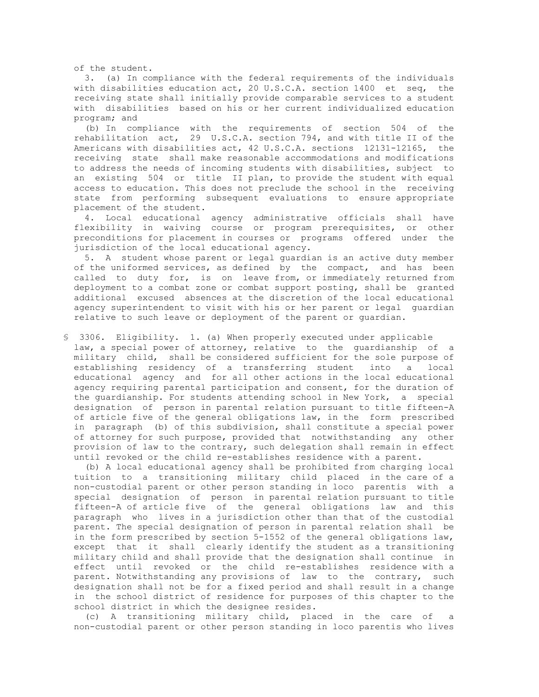of the student.

 3. (a) In compliance with the federal requirements of the individuals with disabilities education act, 20 U.S.C.A. section 1400 et seq, the receiving state shall initially provide comparable services to a student with disabilities based on his or her current individualized education program; and

 (b) In compliance with the requirements of section 504 of the rehabilitation act, 29 U.S.C.A. section 794, and with title II of the Americans with disabilities act, 42 U.S.C.A. sections 12131-12165, the receiving state shall make reasonable accommodations and modifications to address the needs of incoming students with disabilities, subject to an existing 504 or title II plan, to provide the student with equal access to education. This does not preclude the school in the receiving state from performing subsequent evaluations to ensure appropriate placement of the student.

 4. Local educational agency administrative officials shall have flexibility in waiving course or program prerequisites, or other preconditions for placement in courses or programs offered under the jurisdiction of the local educational agency.

 5. A student whose parent or legal guardian is an active duty member of the uniformed services, as defined by the compact, and has been called to duty for, is on leave from, or immediately returned from deployment to a combat zone or combat support posting, shall be granted additional excused absences at the discretion of the local educational agency superintendent to visit with his or her parent or legal guardian relative to such leave or deployment of the parent or guardian.

§ 3306. Eligibility. 1. (a) When properly executed under applicable law, a special power of attorney, relative to the guardianship of a military child, shall be considered sufficient for the sole purpose of establishing residency of a transferring student into a local educational agency and for all other actions in the local educational agency requiring parental participation and consent, for the duration of the guardianship. For students attending school in New York, a special designation of person in parental relation pursuant to title fifteen-A of article five of the general obligations law, in the form prescribed in paragraph (b) of this subdivision, shall constitute a special power of attorney for such purpose, provided that notwithstanding any other provision of law to the contrary, such delegation shall remain in effect until revoked or the child re-establishes residence with a parent.

 (b) A local educational agency shall be prohibited from charging local tuition to a transitioning military child placed in the care of a non-custodial parent or other person standing in loco parentis with a special designation of person in parental relation pursuant to title fifteen-A of article five of the general obligations law and this paragraph who lives in a jurisdiction other than that of the custodial parent. The special designation of person in parental relation shall be in the form prescribed by section 5-1552 of the general obligations law, except that it shall clearly identify the student as a transitioning military child and shall provide that the designation shall continue in effect until revoked or the child re-establishes residence with a parent. Notwithstanding any provisions of law to the contrary, such designation shall not be for a fixed period and shall result in a change in the school district of residence for purposes of this chapter to the school district in which the designee resides.

 (c) A transitioning military child, placed in the care of a non-custodial parent or other person standing in loco parentis who lives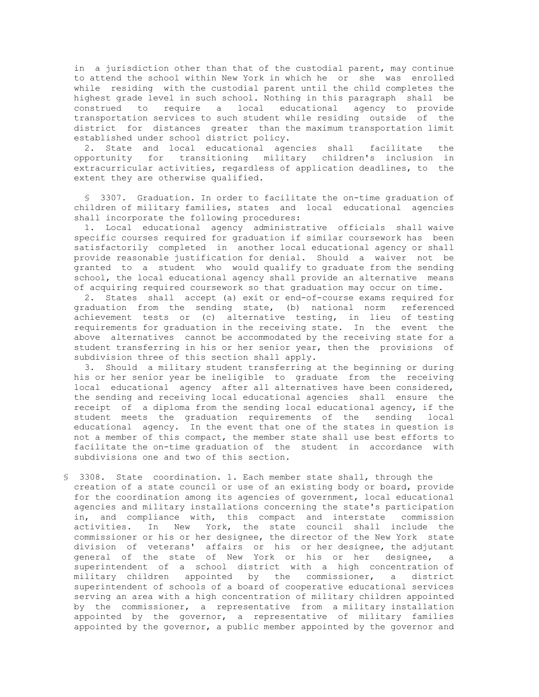in a jurisdiction other than that of the custodial parent, may continue to attend the school within New York in which he or she was enrolled while residing with the custodial parent until the child completes the highest grade level in such school. Nothing in this paragraph shall be construed to require a local educational agency to provide transportation services to such student while residing outside of the district for distances greater than the maximum transportation limit established under school district policy.

 2. State and local educational agencies shall facilitate the opportunity for transitioning military children's inclusion in extracurricular activities, regardless of application deadlines, to the extent they are otherwise qualified.

 § 3307. Graduation. In order to facilitate the on-time graduation of children of military families, states and local educational agencies shall incorporate the following procedures:

 1. Local educational agency administrative officials shall waive specific courses required for graduation if similar coursework has been satisfactorily completed in another local educational agency or shall provide reasonable justification for denial. Should a waiver not be granted to a student who would qualify to graduate from the sending school, the local educational agency shall provide an alternative means of acquiring required coursework so that graduation may occur on time.

 2. States shall accept (a) exit or end-of-course exams required for graduation from the sending state, (b) national norm referenced achievement tests or (c) alternative testing, in lieu of testing requirements for graduation in the receiving state. In the event the above alternatives cannot be accommodated by the receiving state for a student transferring in his or her senior year, then the provisions of subdivision three of this section shall apply.

 3. Should a military student transferring at the beginning or during his or her senior year be ineligible to graduate from the receiving local educational agency after all alternatives have been considered, the sending and receiving local educational agencies shall ensure the receipt of a diploma from the sending local educational agency, if the student meets the graduation requirements of the sending local educational agency. In the event that one of the states in question is not a member of this compact, the member state shall use best efforts to facilitate the on-time graduation of the student in accordance with subdivisions one and two of this section.

§ 3308. State coordination. 1. Each member state shall, through the creation of a state council or use of an existing body or board, provide for the coordination among its agencies of government, local educational agencies and military installations concerning the state's participation in, and compliance with, this compact and interstate commission activities. In New York, the state council shall include the commissioner or his or her designee, the director of the New York state division of veterans' affairs or his or her designee, the adjutant general of the state of New York or his or her designee, a superintendent of a school district with a high concentration of military children appointed by the commissioner, a district superintendent of schools of a board of cooperative educational services serving an area with a high concentration of military children appointed by the commissioner, a representative from a military installation appointed by the governor, a representative of military families appointed by the governor, a public member appointed by the governor and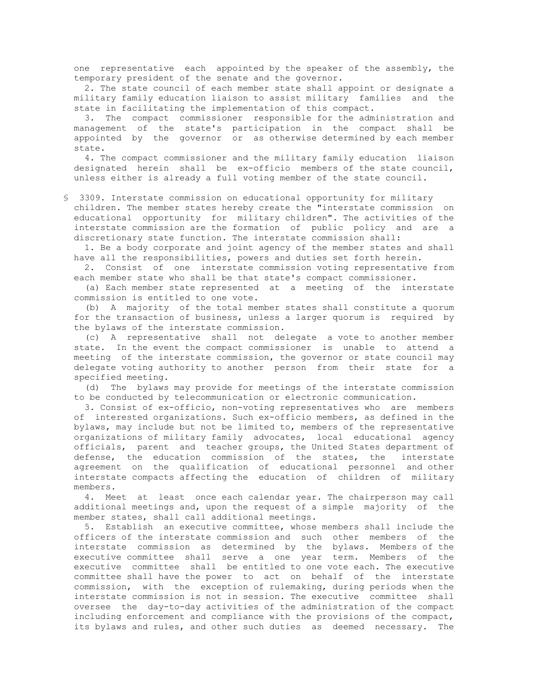one representative each appointed by the speaker of the assembly, the temporary president of the senate and the governor.

 2. The state council of each member state shall appoint or designate a military family education liaison to assist military families and the state in facilitating the implementation of this compact.

 3. The compact commissioner responsible for the administration and management of the state's participation in the compact shall be appointed by the governor or as otherwise determined by each member state.

 4. The compact commissioner and the military family education liaison designated herein shall be ex-officio members of the state council, unless either is already a full voting member of the state council.

§ 3309. Interstate commission on educational opportunity for military children. The member states hereby create the "interstate commission on educational opportunity for military children". The activities of the interstate commission are the formation of public policy and are a discretionary state function. The interstate commission shall:

 1. Be a body corporate and joint agency of the member states and shall have all the responsibilities, powers and duties set forth herein.

 2. Consist of one interstate commission voting representative from each member state who shall be that state's compact commissioner.

 (a) Each member state represented at a meeting of the interstate commission is entitled to one vote.

 (b) A majority of the total member states shall constitute a quorum for the transaction of business, unless a larger quorum is required by the bylaws of the interstate commission.

 (c) A representative shall not delegate a vote to another member state. In the event the compact commissioner is unable to attend a meeting of the interstate commission, the governor or state council may delegate voting authority to another person from their state for a specified meeting.

 (d) The bylaws may provide for meetings of the interstate commission to be conducted by telecommunication or electronic communication.

 3. Consist of ex-officio, non-voting representatives who are members of interested organizations. Such ex-officio members, as defined in the bylaws, may include but not be limited to, members of the representative organizations of military family advocates, local educational agency officials, parent and teacher groups, the United States department of defense, the education commission of the states, the interstate agreement on the qualification of educational personnel and other interstate compacts affecting the education of children of military members.

 4. Meet at least once each calendar year. The chairperson may call additional meetings and, upon the request of a simple majority of the member states, shall call additional meetings.

 5. Establish an executive committee, whose members shall include the officers of the interstate commission and such other members of the interstate commission as determined by the bylaws. Members of the executive committee shall serve a one year term. Members of the executive committee shall be entitled to one vote each. The executive committee shall have the power to act on behalf of the interstate commission, with the exception of rulemaking, during periods when the interstate commission is not in session. The executive committee shall oversee the day-to-day activities of the administration of the compact including enforcement and compliance with the provisions of the compact, its bylaws and rules, and other such duties as deemed necessary. The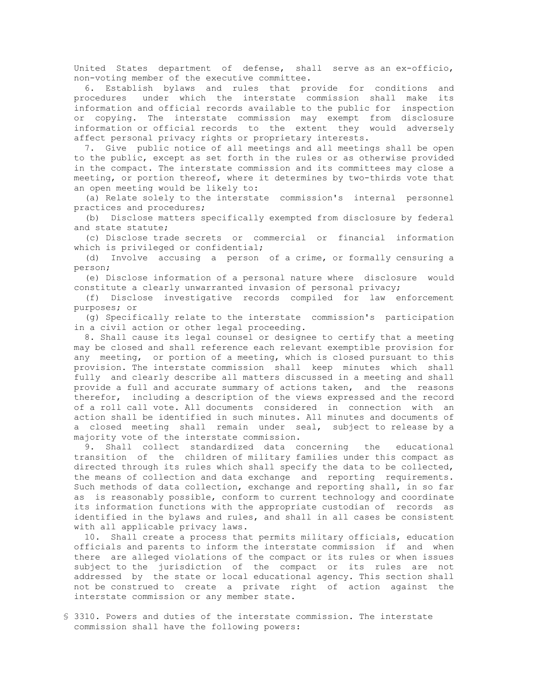United States department of defense, shall serve as an ex-officio, non-voting member of the executive committee.

 6. Establish bylaws and rules that provide for conditions and procedures under which the interstate commission shall make its information and official records available to the public for inspection or copying. The interstate commission may exempt from disclosure information or official records to the extent they would adversely affect personal privacy rights or proprietary interests.

 7. Give public notice of all meetings and all meetings shall be open to the public, except as set forth in the rules or as otherwise provided in the compact. The interstate commission and its committees may close a meeting, or portion thereof, where it determines by two-thirds vote that an open meeting would be likely to:

 (a) Relate solely to the interstate commission's internal personnel practices and procedures;

 (b) Disclose matters specifically exempted from disclosure by federal and state statute;

 (c) Disclose trade secrets or commercial or financial information which is privileged or confidential;

 (d) Involve accusing a person of a crime, or formally censuring a person;

 (e) Disclose information of a personal nature where disclosure would constitute a clearly unwarranted invasion of personal privacy;

 (f) Disclose investigative records compiled for law enforcement purposes; or

 (g) Specifically relate to the interstate commission's participation in a civil action or other legal proceeding.

 8. Shall cause its legal counsel or designee to certify that a meeting may be closed and shall reference each relevant exemptible provision for any meeting, or portion of a meeting, which is closed pursuant to this provision. The interstate commission shall keep minutes which shall fully and clearly describe all matters discussed in a meeting and shall provide a full and accurate summary of actions taken, and the reasons therefor, including a description of the views expressed and the record of a roll call vote. All documents considered in connection with an action shall be identified in such minutes. All minutes and documents of a closed meeting shall remain under seal, subject to release by a majority vote of the interstate commission.

 9. Shall collect standardized data concerning the educational transition of the children of military families under this compact as directed through its rules which shall specify the data to be collected, the means of collection and data exchange and reporting requirements. Such methods of data collection, exchange and reporting shall, in so far as is reasonably possible, conform to current technology and coordinate its information functions with the appropriate custodian of records as identified in the bylaws and rules, and shall in all cases be consistent with all applicable privacy laws.

 10. Shall create a process that permits military officials, education officials and parents to inform the interstate commission if and when there are alleged violations of the compact or its rules or when issues subject to the jurisdiction of the compact or its rules are not addressed by the state or local educational agency. This section shall not be construed to create a private right of action against the interstate commission or any member state.

§ 3310. Powers and duties of the interstate commission. The interstate commission shall have the following powers: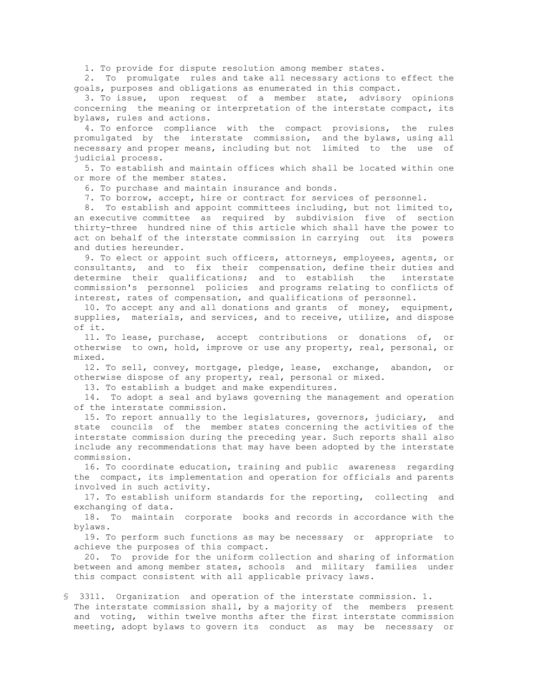1. To provide for dispute resolution among member states.

 2. To promulgate rules and take all necessary actions to effect the goals, purposes and obligations as enumerated in this compact.

 3. To issue, upon request of a member state, advisory opinions concerning the meaning or interpretation of the interstate compact, its bylaws, rules and actions.

 4. To enforce compliance with the compact provisions, the rules promulgated by the interstate commission, and the bylaws, using all necessary and proper means, including but not limited to the use of judicial process.

 5. To establish and maintain offices which shall be located within one or more of the member states.

6. To purchase and maintain insurance and bonds.

7. To borrow, accept, hire or contract for services of personnel.

 8. To establish and appoint committees including, but not limited to, an executive committee as required by subdivision five of section thirty-three hundred nine of this article which shall have the power to act on behalf of the interstate commission in carrying out its powers and duties hereunder.

 9. To elect or appoint such officers, attorneys, employees, agents, or consultants, and to fix their compensation, define their duties and determine their qualifications; and to establish the interstate commission's personnel policies and programs relating to conflicts of interest, rates of compensation, and qualifications of personnel.

 10. To accept any and all donations and grants of money, equipment, supplies, materials, and services, and to receive, utilize, and dispose of it.

 11. To lease, purchase, accept contributions or donations of, or otherwise to own, hold, improve or use any property, real, personal, or mixed.

 12. To sell, convey, mortgage, pledge, lease, exchange, abandon, or otherwise dispose of any property, real, personal or mixed.

13. To establish a budget and make expenditures.

 14. To adopt a seal and bylaws governing the management and operation of the interstate commission.

 15. To report annually to the legislatures, governors, judiciary, and state councils of the member states concerning the activities of the interstate commission during the preceding year. Such reports shall also include any recommendations that may have been adopted by the interstate commission.

 16. To coordinate education, training and public awareness regarding the compact, its implementation and operation for officials and parents involved in such activity.

 17. To establish uniform standards for the reporting, collecting and exchanging of data.

 18. To maintain corporate books and records in accordance with the bylaws.

 19. To perform such functions as may be necessary or appropriate to achieve the purposes of this compact.

 20. To provide for the uniform collection and sharing of information between and among member states, schools and military families under this compact consistent with all applicable privacy laws.

§ 3311. Organization and operation of the interstate commission. 1. The interstate commission shall, by a majority of the members present and voting, within twelve months after the first interstate commission meeting, adopt bylaws to govern its conduct as may be necessary or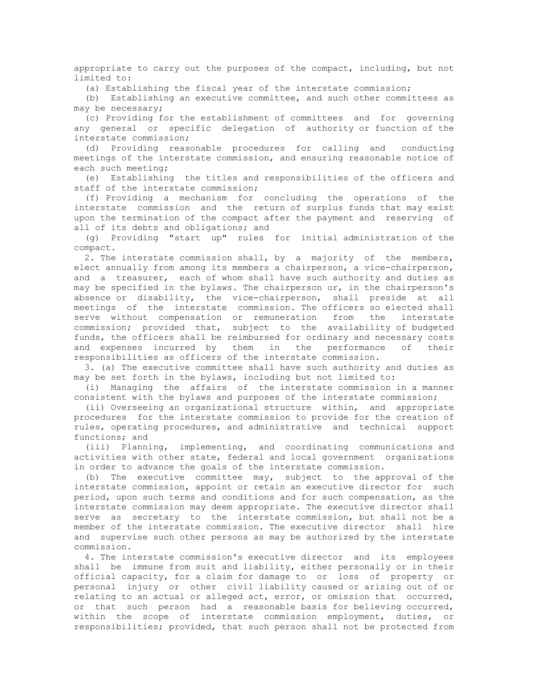appropriate to carry out the purposes of the compact, including, but not limited to:

(a) Establishing the fiscal year of the interstate commission;

 (b) Establishing an executive committee, and such other committees as may be necessary;

 (c) Providing for the establishment of committees and for governing any general or specific delegation of authority or function of the interstate commission;

 (d) Providing reasonable procedures for calling and conducting meetings of the interstate commission, and ensuring reasonable notice of each such meeting;

 (e) Establishing the titles and responsibilities of the officers and staff of the interstate commission;

 (f) Providing a mechanism for concluding the operations of the interstate commission and the return of surplus funds that may exist upon the termination of the compact after the payment and reserving of all of its debts and obligations; and

 (g) Providing "start up" rules for initial administration of the compact.

 2. The interstate commission shall, by a majority of the members, elect annually from among its members a chairperson, a vice-chairperson, and a treasurer, each of whom shall have such authority and duties as may be specified in the bylaws. The chairperson or, in the chairperson's absence or disability, the vice-chairperson, shall preside at all meetings of the interstate commission. The officers so elected shall serve without compensation or remuneration from the interstate commission; provided that, subject to the availability of budgeted funds, the officers shall be reimbursed for ordinary and necessary costs and expenses incurred by them in the performance of their responsibilities as officers of the interstate commission.

 3. (a) The executive committee shall have such authority and duties as may be set forth in the bylaws, including but not limited to:

 (i) Managing the affairs of the interstate commission in a manner consistent with the bylaws and purposes of the interstate commission;

 (ii) Overseeing an organizational structure within, and appropriate procedures for the interstate commission to provide for the creation of rules, operating procedures, and administrative and technical support functions; and

 (iii) Planning, implementing, and coordinating communications and activities with other state, federal and local government organizations in order to advance the goals of the interstate commission.

 (b) The executive committee may, subject to the approval of the interstate commission, appoint or retain an executive director for such period, upon such terms and conditions and for such compensation, as the interstate commission may deem appropriate. The executive director shall serve as secretary to the interstate commission, but shall not be a member of the interstate commission. The executive director shall hire and supervise such other persons as may be authorized by the interstate commission.

 4. The interstate commission's executive director and its employees shall be immune from suit and liability, either personally or in their official capacity, for a claim for damage to or loss of property or personal injury or other civil liability caused or arising out of or relating to an actual or alleged act, error, or omission that occurred, or that such person had a reasonable basis for believing occurred, within the scope of interstate commission employment, duties, or responsibilities; provided, that such person shall not be protected from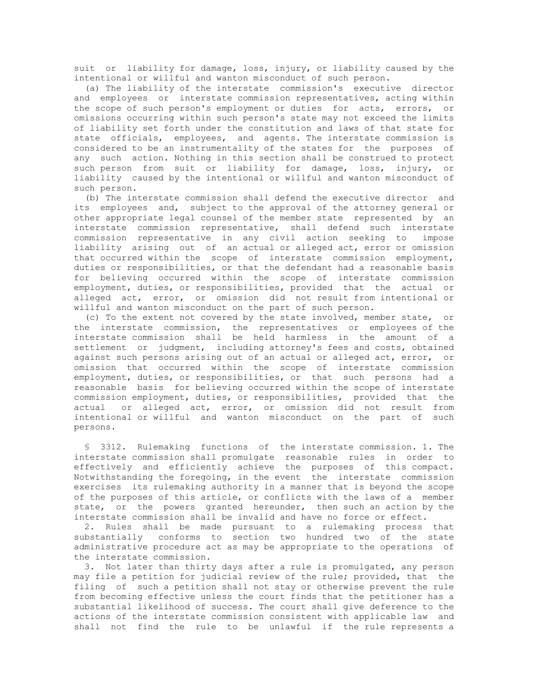suit or liability for damage, loss, injury, or liability caused by the intentional or willful and wanton misconduct of such person.

 (a) The liability of the interstate commission's executive director and employees or interstate commission representatives, acting within the scope of such person's employment or duties for acts, errors, or omissions occurring within such person's state may not exceed the limits of liability set forth under the constitution and laws of that state for state officials, employees, and agents. The interstate commission is considered to be an instrumentality of the states for the purposes of any such action. Nothing in this section shall be construed to protect such person from suit or liability for damage, loss, injury, or liability caused by the intentional or willful and wanton misconduct of such person.

 (b) The interstate commission shall defend the executive director and its employees and, subject to the approval of the attorney general or other appropriate legal counsel of the member state represented by an interstate commission representative, shall defend such interstate commission representative in any civil action seeking to impose liability arising out of an actual or alleged act, error or omission that occurred within the scope of interstate commission employment, duties or responsibilities, or that the defendant had a reasonable basis for believing occurred within the scope of interstate commission employment, duties, or responsibilities, provided that the actual or alleged act, error, or omission did not result from intentional or willful and wanton misconduct on the part of such person.

 (c) To the extent not covered by the state involved, member state, or the interstate commission, the representatives or employees of the interstate commission shall be held harmless in the amount of a settlement or judgment, including attorney's fees and costs, obtained against such persons arising out of an actual or alleged act, error, or omission that occurred within the scope of interstate commission employment, duties, or responsibilities, or that such persons had a reasonable basis for believing occurred within the scope of interstate commission employment, duties, or responsibilities, provided that the actual or alleged act, error, or omission did not result from intentional or willful and wanton misconduct on the part of such persons.

 § 3312. Rulemaking functions of the interstate commission. 1. The interstate commission shall promulgate reasonable rules in order to effectively and efficiently achieve the purposes of this compact. Notwithstanding the foregoing, in the event the interstate commission exercises its rulemaking authority in a manner that is beyond the scope of the purposes of this article, or conflicts with the laws of a member state, or the powers granted hereunder, then such an action by the interstate commission shall be invalid and have no force or effect.

 2. Rules shall be made pursuant to a rulemaking process that substantially conforms to section two hundred two of the state administrative procedure act as may be appropriate to the operations of the interstate commission.

 3. Not later than thirty days after a rule is promulgated, any person may file a petition for judicial review of the rule; provided, that the filing of such a petition shall not stay or otherwise prevent the rule from becoming effective unless the court finds that the petitioner has a substantial likelihood of success. The court shall give deference to the actions of the interstate commission consistent with applicable law and shall not find the rule to be unlawful if the rule represents a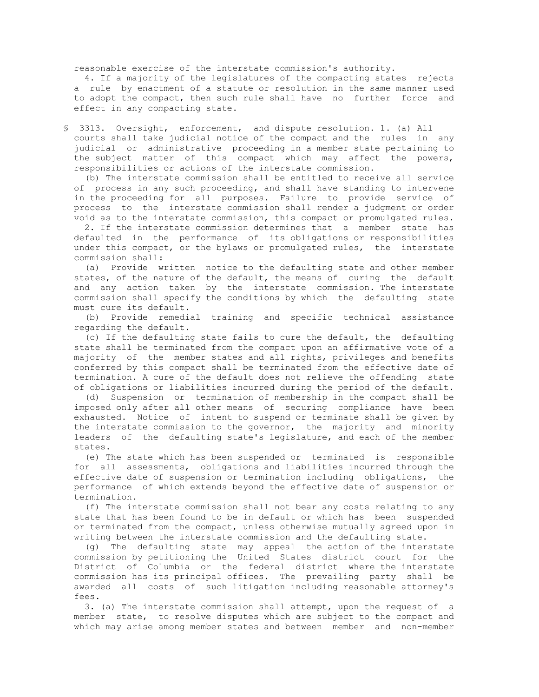reasonable exercise of the interstate commission's authority.

 4. If a majority of the legislatures of the compacting states rejects a rule by enactment of a statute or resolution in the same manner used to adopt the compact, then such rule shall have no further force and effect in any compacting state.

§ 3313. Oversight, enforcement, and dispute resolution. 1. (a) All courts shall take judicial notice of the compact and the rules in any judicial or administrative proceeding in a member state pertaining to the subject matter of this compact which may affect the powers, responsibilities or actions of the interstate commission.

 (b) The interstate commission shall be entitled to receive all service of process in any such proceeding, and shall have standing to intervene in the proceeding for all purposes. Failure to provide service of process to the interstate commission shall render a judgment or order void as to the interstate commission, this compact or promulgated rules.

 2. If the interstate commission determines that a member state has defaulted in the performance of its obligations or responsibilities under this compact, or the bylaws or promulgated rules, the interstate commission shall:

 (a) Provide written notice to the defaulting state and other member states, of the nature of the default, the means of curing the default and any action taken by the interstate commission. The interstate commission shall specify the conditions by which the defaulting state must cure its default.

 (b) Provide remedial training and specific technical assistance regarding the default.

 (c) If the defaulting state fails to cure the default, the defaulting state shall be terminated from the compact upon an affirmative vote of a majority of the member states and all rights, privileges and benefits conferred by this compact shall be terminated from the effective date of termination. A cure of the default does not relieve the offending state of obligations or liabilities incurred during the period of the default.

 (d) Suspension or termination of membership in the compact shall be imposed only after all other means of securing compliance have been exhausted. Notice of intent to suspend or terminate shall be given by the interstate commission to the governor, the majority and minority leaders of the defaulting state's legislature, and each of the member states.

 (e) The state which has been suspended or terminated is responsible for all assessments, obligations and liabilities incurred through the effective date of suspension or termination including obligations, the performance of which extends beyond the effective date of suspension or termination.

 (f) The interstate commission shall not bear any costs relating to any state that has been found to be in default or which has been suspended or terminated from the compact, unless otherwise mutually agreed upon in writing between the interstate commission and the defaulting state.

 (g) The defaulting state may appeal the action of the interstate commission by petitioning the United States district court for the District of Columbia or the federal district where the interstate commission has its principal offices. The prevailing party shall be awarded all costs of such litigation including reasonable attorney's fees.

 3. (a) The interstate commission shall attempt, upon the request of a member state, to resolve disputes which are subject to the compact and which may arise among member states and between member and non-member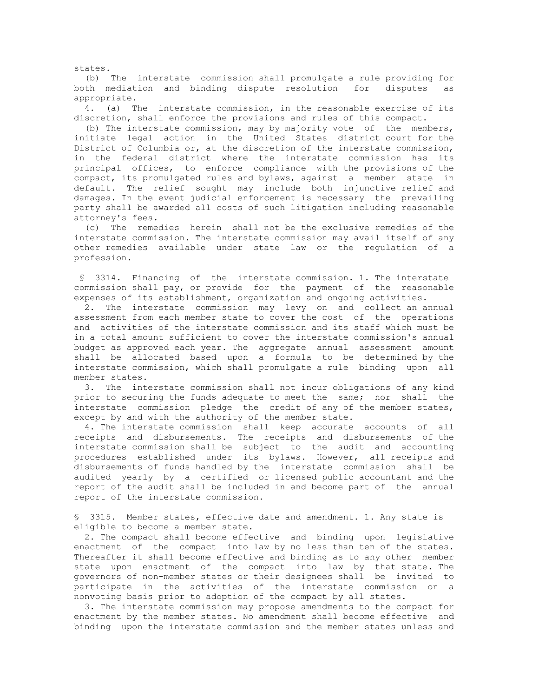(b) The interstate commission shall promulgate a rule providing for both mediation and binding dispute resolution for disputes as appropriate.

states.

 4. (a) The interstate commission, in the reasonable exercise of its discretion, shall enforce the provisions and rules of this compact.

 (b) The interstate commission, may by majority vote of the members, initiate legal action in the United States district court for the District of Columbia or, at the discretion of the interstate commission, in the federal district where the interstate commission has its principal offices, to enforce compliance with the provisions of the compact, its promulgated rules and bylaws, against a member state in default. The relief sought may include both injunctive relief and damages. In the event judicial enforcement is necessary the prevailing party shall be awarded all costs of such litigation including reasonable attorney's fees.

 (c) The remedies herein shall not be the exclusive remedies of the interstate commission. The interstate commission may avail itself of any other remedies available under state law or the regulation of a profession.

 § 3314. Financing of the interstate commission. 1. The interstate commission shall pay, or provide for the payment of the reasonable expenses of its establishment, organization and ongoing activities.

 2. The interstate commission may levy on and collect an annual assessment from each member state to cover the cost of the operations and activities of the interstate commission and its staff which must be in a total amount sufficient to cover the interstate commission's annual budget as approved each year. The aggregate annual assessment amount shall be allocated based upon a formula to be determined by the interstate commission, which shall promulgate a rule binding upon all member states.

 3. The interstate commission shall not incur obligations of any kind prior to securing the funds adequate to meet the same; nor shall the interstate commission pledge the credit of any of the member states, except by and with the authority of the member state.

 4. The interstate commission shall keep accurate accounts of all receipts and disbursements. The receipts and disbursements of the interstate commission shall be subject to the audit and accounting procedures established under its bylaws. However, all receipts and disbursements of funds handled by the interstate commission shall be audited yearly by a certified or licensed public accountant and the report of the audit shall be included in and become part of the annual report of the interstate commission.

 § 3315. Member states, effective date and amendment. 1. Any state is eligible to become a member state.

 2. The compact shall become effective and binding upon legislative enactment of the compact into law by no less than ten of the states. Thereafter it shall become effective and binding as to any other member state upon enactment of the compact into law by that state. The governors of non-member states or their designees shall be invited to participate in the activities of the interstate commission on a nonvoting basis prior to adoption of the compact by all states.

 3. The interstate commission may propose amendments to the compact for enactment by the member states. No amendment shall become effective and binding upon the interstate commission and the member states unless and